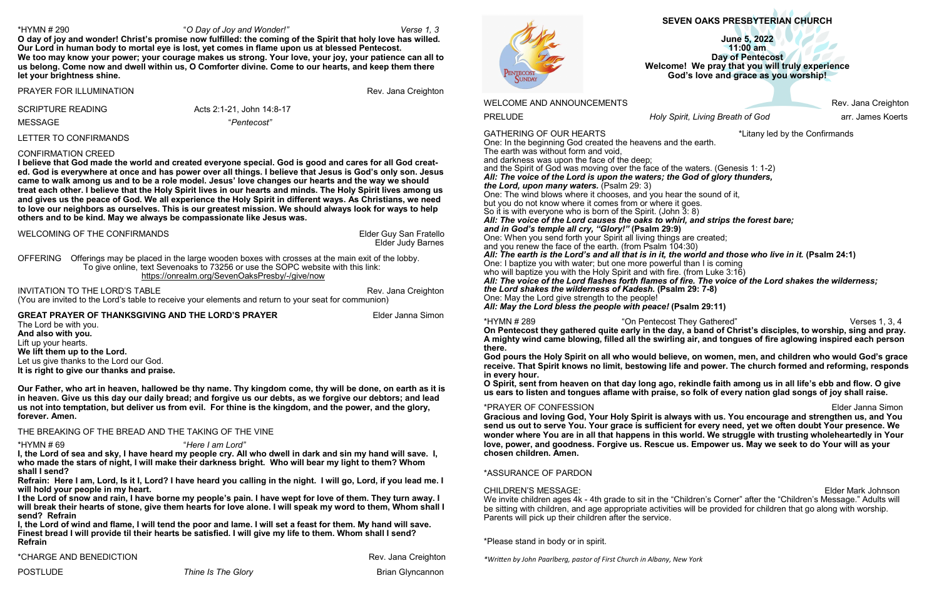# **SEVEN OAKS PRESBYTERIAN CHURCH**

**June 5, 2022 11:00 am Day of Pentecost Welcome!****We pray that you will truly experience God's love and grace as you worship!**

PRELUDE *Holy Spirit, Living Breath of God* arr. James Koerts

One: In the beginning God created the heavens and the earth. The earth was without form and void,

and darkness was upon the face of the deep;

and the Spirit of God was moving over the face of the waters. (Genesis 1: 1-2) *All: The voice of the Lord is upon the waters; the God of glory thunders, the Lord, upon many waters.* (Psalm 29: 3)

One: The wind blows where it chooses, and you hear the sound of it, but you do not know where it comes from or where it goes. So it is with everyone who is born of the Spirit. (John 3: 8) *All: The voice of the Lord causes the oaks to whirl, and strips the forest bare; and in God's temple all cry, "Glory!"* **(Psalm 29:9)**

One: When you send forth your Spirit all living things are created; and you renew the face of the earth. (from Psalm 104:30) *All: The earth is the Lord's and all that is in it, the world and those who live in it.* **(Psalm 24:1)** One: I baptize you with water; but one more powerful than I is coming who will baptize you with the Holy Spirit and with fire. (from Luke 3:16) *All: The voice of the Lord flashes forth flames of fire. The voice of the Lord shakes the wilderness; the Lord shakes the wilderness of Kadesh.* **(Psalm 29: 7-8)** One: May the Lord give strength to the people!

CHILDREN'S MESSAGE: Elder Mark Johnson We invite children ages 4k - 4th grade to sit in the "Children's Corner" after the "Children's Message." Adults will be sitting with children, and age appropriate activities will be provided for children that go along with worship. Parents will pick up their children after the service.

*All: May the Lord bless the people with peace!* **(Psalm 29:11)**

\*HYMN # 289 "On Pentecost They Gathered" Verses 1, 3, 4 **On Pentecost they gathered quite early in the day, a band of Christ's disciples, to worship, sing and pray. A mighty wind came blowing, filled all the swirling air, and tongues of fire aglowing inspired each person there.**

**God pours the Holy Spirit on all who would believe, on women, men, and children who would God's grace receive. That Spirit knows no limit, bestowing life and power. The church formed and reforming, responds in every hour.**

**O Spirit, sent from heaven on that day long ago, rekindle faith among us in all life's ebb and flow. O give us ears to listen and tongues aflame with praise, so folk of every nation glad songs of joy shall raise.**

INVITATION TO THE LORD'S TABLE **Rev. Jana Creighton** (You are invited to the Lord's table to receive your elements and return to your seat for communion)

## **GREAT PRAYER OF THANKSGIVING AND THE LORD'S PRAYER <b>Elder Janna Simon**

\*PRAYER OF CONFESSION Elder Janna Simon **Gracious and loving God, Your Holy Spirit is always with us. You encourage and strengthen us, and You send us out to serve You. Your grace is sufficient for every need, yet we often doubt Your presence. We wonder where You are in all that happens in this world. We struggle with trusting wholeheartedly in Your love, power, and goodness. Forgive us. Rescue us. Empower us. May we seek to do Your will as your chosen children. Amen.**

# \*ASSURANCE OF PARDON

\*Please stand in body or in spirit.

*\*Written by John Paarlberg, pastor of First Church in Albany, New York*

WELCOME AND ANNOUNCEMENTS **Rev. Jana Creighton** 

# GATHERING OF OUR HEARTS **All the Confirmands**  $\ddot{\text{L}}$  than the Confirmands

### \*HYMN # 290 "*O Day of Joy and Wonder!" Verse 1, 3*

Rev. Jana Creighton

**O day of joy and wonder! Christ's promise now fulfilled: the coming of the Spirit that holy love has willed. Our Lord in human body to mortal eye is lost, yet comes in flame upon us at blessed Pentecost. We too may know your power; your courage makes us strong. Your love, your joy, your patience can all to us belong. Come now and dwell within us, O Comforter divine. Come to our hearts, and keep them there let your brightness shine.**

| PRAYER FOR ILLUMINATION |  |  |  |
|-------------------------|--|--|--|
|-------------------------|--|--|--|

SCRIPTURE READING Acts 2:1-21, John 14:8-17

MESSAGE "*Pentecost"*

### LETTER TO CONFIRMANDS

## CONFIRMATION CREED

**I believe that God made the world and created everyone special. God is good and cares for all God created. God is everywhere at once and has power over all things. I believe that Jesus is God's only son. Jesus came to walk among us and to be a role model. Jesus' love changes our hearts and the way we should treat each other. I believe that the Holy Spirit lives in our hearts and minds. The Holy Spirit lives among us and gives us the peace of God. We all experience the Holy Spirit in different ways. As Christians, we need to love our neighbors as ourselves. This is our greatest mission. We should always look for ways to help others and to be kind. May we always be compassionate like Jesus was.**

WELCOMING OF THE CONFIRMANDS **Elder Guy San Fratello** 

Elder Judy Barnes

OFFERING Offerings may be placed in the large wooden boxes with crosses at the main exit of the lobby. To give online, text Sevenoaks to 73256 or use the SOPC website with this link: [https://onrealm.org/SevenOaksPresby/](https://onrealm.org/SevenOaksPresby/-/give/now)-/give/now

The Lord be with you. **And also with you.** Lift up your hearts. **We lift them up to the Lord.** Let us give thanks to the Lord our God. **It is right to give our thanks and praise.** 

**Our Father, who art in heaven, hallowed be thy name. Thy kingdom come, thy will be done, on earth as it is in heaven. Give us this day our daily bread; and forgive us our debts, as we forgive our debtors; and lead us not into temptation, but deliver us from evil. For thine is the kingdom, and the power, and the glory, forever. Amen.** 

THE BREAKING OF THE BREAD AND THE TAKING OF THE VINE

\*HYMN # 69 "*Here I am Lord"* **I, the Lord of sea and sky, I have heard my people cry. All who dwell in dark and sin my hand will save. I, who made the stars of night, I will make their darkness bright. Who will bear my light to them? Whom shall I send?**

**Refrain: Here I am, Lord, Is it I, Lord? I have heard you calling in the night. I will go, Lord, if you lead me. I will hold your people in my heart.** 

**I the Lord of snow and rain, I have borne my people's pain. I have wept for love of them. They turn away. I will break their hearts of stone, give them hearts for love alone. I will speak my word to them, Whom shall I send? Refrain**

**I, the Lord of wind and flame, I will tend the poor and lame. I will set a feast for them. My hand will save. Finest bread I will provide til their hearts be satisfied. I will give my life to them. Whom shall I send? Refrain**

\*CHARGE AND BENEDICTION **Rev. Jana Creighton** 

POSTLUDE *Thine Is The Glory* Brian Glyncannon